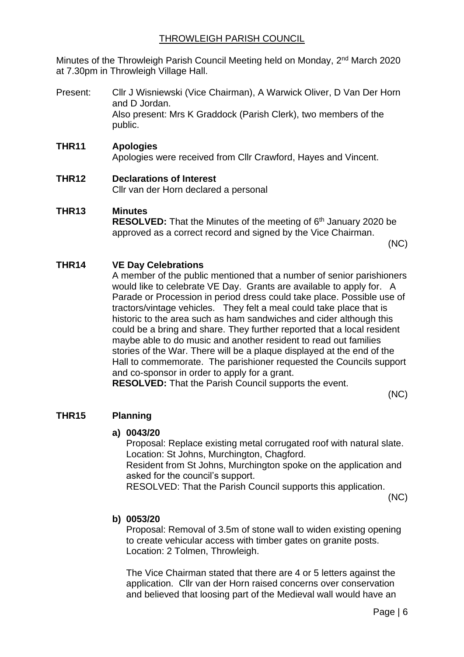## THROWLEIGH PARISH COUNCIL

Minutes of the Throwleigh Parish Council Meeting held on Monday, 2<sup>nd</sup> March 2020 at 7.30pm in Throwleigh Village Hall.

Present: Cllr J Wisniewski (Vice Chairman), A Warwick Oliver, D Van Der Horn and D Jordan. Also present: Mrs K Graddock (Parish Clerk), two members of the public.

## **THR11 Apologies**

Apologies were received from Cllr Crawford, Hayes and Vincent.

## **THR12 Declarations of Interest**

Cllr van der Horn declared a personal

## **THR13 Minutes**

**RESOLVED:** That the Minutes of the meeting of 6th January 2020 be approved as a correct record and signed by the Vice Chairman.

(NC)

## **THR14 VE Day Celebrations**

A member of the public mentioned that a number of senior parishioners would like to celebrate VE Day. Grants are available to apply for. A Parade or Procession in period dress could take place. Possible use of tractors/vintage vehicles. They felt a meal could take place that is historic to the area such as ham sandwiches and cider although this could be a bring and share. They further reported that a local resident maybe able to do music and another resident to read out families stories of the War. There will be a plaque displayed at the end of the Hall to commemorate. The parishioner requested the Councils support and co-sponsor in order to apply for a grant.

**RESOLVED:** That the Parish Council supports the event.

(NC)

## **THR15 Planning**

## **a) 0043/20**

Proposal: Replace existing metal corrugated roof with natural slate. Location: St Johns, Murchington, Chagford.

Resident from St Johns, Murchington spoke on the application and asked for the council's support.

RESOLVED: That the Parish Council supports this application.

(NC)

## **b) 0053/20**

Proposal: Removal of 3.5m of stone wall to widen existing opening to create vehicular access with timber gates on granite posts. Location: 2 Tolmen, Throwleigh.

The Vice Chairman stated that there are 4 or 5 letters against the application. Cllr van der Horn raised concerns over conservation and believed that loosing part of the Medieval wall would have an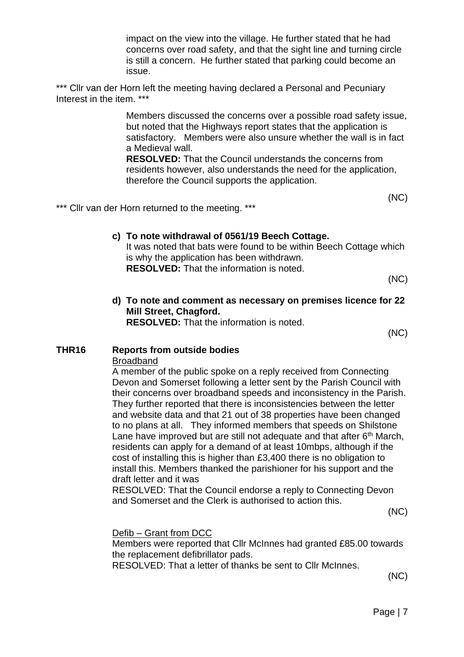impact on the view into the village. He further stated that he had concerns over road safety, and that the sight line and turning circle is still a concern. He further stated that parking could become an issue.

\*\*\* Cllr van der Horn left the meeting having declared a Personal and Pecuniary Interest in the item. \*\*\*

> Members discussed the concerns over a possible road safety issue, but noted that the Highways report states that the application is satisfactory. Members were also unsure whether the wall is in fact a Medieval wall.

**RESOLVED:** That the Council understands the concerns from residents however, also understands the need for the application, therefore the Council supports the application.

(NC)

\*\*\* Cllr van der Horn returned to the meeting. \*\*\*

**c) To note withdrawal of 0561/19 Beech Cottage.** It was noted that bats were found to be within Beech Cottage which is why the application has been withdrawn. **RESOLVED:** That the information is noted.

(NC)

**d) To note and comment as necessary on premises licence for 22 Mill Street, Chagford. RESOLVED:** That the information is noted.

(NC)

## **THR16 Reports from outside bodies**

#### **Broadband**

A member of the public spoke on a reply received from Connecting Devon and Somerset following a letter sent by the Parish Council with their concerns over broadband speeds and inconsistency in the Parish. They further reported that there is inconsistencies between the letter and website data and that 21 out of 38 properties have been changed to no plans at all. They informed members that speeds on Shilstone Lane have improved but are still not adequate and that after 6<sup>th</sup> March, residents can apply for a demand of at least 10mbps, although if the cost of installing this is higher than £3,400 there is no obligation to install this. Members thanked the parishioner for his support and the draft letter and it was

RESOLVED: That the Council endorse a reply to Connecting Devon and Somerset and the Clerk is authorised to action this.

(NC)

## Defib – Grant from DCC

Members were reported that Cllr McInnes had granted £85.00 towards the replacement defibrillator pads.

RESOLVED: That a letter of thanks be sent to Cllr McInnes.

(NC)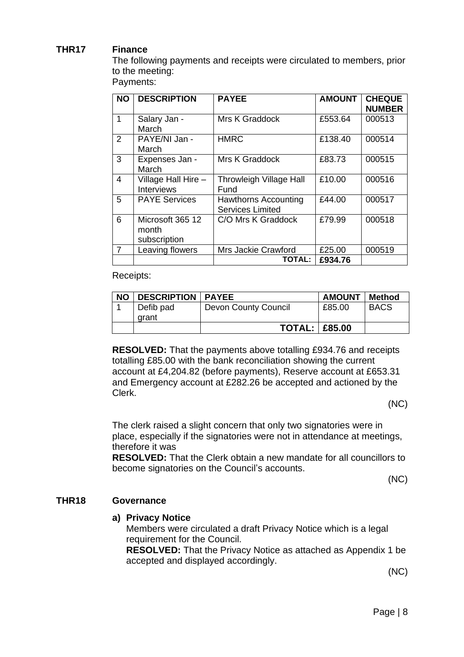## **THR17 Finance**

The following payments and receipts were circulated to members, prior to the meeting:

Payments:

| <b>NO</b>      | <b>DESCRIPTION</b>                        | <b>PAYEE</b>                                           | <b>AMOUNT</b> | <b>CHEQUE</b><br><b>NUMBER</b> |
|----------------|-------------------------------------------|--------------------------------------------------------|---------------|--------------------------------|
| $\mathbf{1}$   | Salary Jan -<br>March                     | Mrs K Graddock                                         | £553.64       | 000513                         |
| 2              | PAYE/NI Jan -<br>March                    | <b>HMRC</b>                                            | £138.40       | 000514                         |
| 3              | Expenses Jan -<br>March                   | <b>Mrs K Graddock</b>                                  | £83.73        | 000515                         |
| $\overline{4}$ | Village Hall Hire -<br><b>Interviews</b>  | Throwleigh Village Hall<br>Fund                        | £10.00        | 000516                         |
| 5              | <b>PAYE Services</b>                      | <b>Hawthorns Accounting</b><br><b>Services Limited</b> | £44.00        | 000517                         |
| 6              | Microsoft 365 12<br>month<br>subscription | C/O Mrs K Graddock                                     | £79.99        | 000518                         |
| $\overline{7}$ | Leaving flowers                           | Mrs Jackie Crawford                                    | £25.00        | 000519                         |
|                |                                           | TOTAL:                                                 | £934.76       |                                |

Receipts:

| <b>NO</b> | <b>DESCRIPTION   PAYEE</b> |                      | <b>AMOUNT</b> | <b>Method</b> |
|-----------|----------------------------|----------------------|---------------|---------------|
|           | Defib pad                  | Devon County Council | £85.00        | <b>BACS</b>   |
|           | arant                      |                      |               |               |
|           |                            | <b>TOTAL: E85.00</b> |               |               |

**RESOLVED:** That the payments above totalling £934.76 and receipts totalling £85.00 with the bank reconciliation showing the current account at £4,204.82 (before payments), Reserve account at £653.31 and Emergency account at £282.26 be accepted and actioned by the Clerk.

(NC)

The clerk raised a slight concern that only two signatories were in place, especially if the signatories were not in attendance at meetings, therefore it was

**RESOLVED:** That the Clerk obtain a new mandate for all councillors to become signatories on the Council's accounts.

(NC)

#### **THR18 Governance**

## **a) Privacy Notice**

Members were circulated a draft Privacy Notice which is a legal requirement for the Council.

**RESOLVED:** That the Privacy Notice as attached as Appendix 1 be accepted and displayed accordingly.

(NC)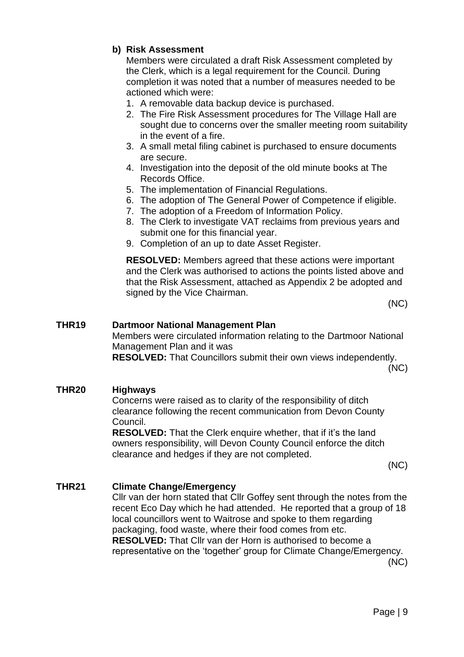## **b) Risk Assessment**

Members were circulated a draft Risk Assessment completed by the Clerk, which is a legal requirement for the Council. During completion it was noted that a number of measures needed to be actioned which were:

- 1. A removable data backup device is purchased.
- 2. The Fire Risk Assessment procedures for The Village Hall are sought due to concerns over the smaller meeting room suitability in the event of a fire.
- 3. A small metal filing cabinet is purchased to ensure documents are secure.
- 4. Investigation into the deposit of the old minute books at The Records Office.
- 5. The implementation of Financial Regulations.
- 6. The adoption of The General Power of Competence if eligible.
- 7. The adoption of a Freedom of Information Policy.
- 8. The Clerk to investigate VAT reclaims from previous years and submit one for this financial year.
- 9. Completion of an up to date Asset Register.

**RESOLVED:** Members agreed that these actions were important and the Clerk was authorised to actions the points listed above and that the Risk Assessment, attached as Appendix 2 be adopted and signed by the Vice Chairman.

(NC)

## **THR19 Dartmoor National Management Plan**

Members were circulated information relating to the Dartmoor National Management Plan and it was

**RESOLVED:** That Councillors submit their own views independently.

(NC)

## **THR20 Highways**

Concerns were raised as to clarity of the responsibility of ditch clearance following the recent communication from Devon County Council.

**RESOLVED:** That the Clerk enquire whether, that if it's the land owners responsibility, will Devon County Council enforce the ditch clearance and hedges if they are not completed.

(NC)

## **THR21 Climate Change/Emergency**

Cllr van der horn stated that Cllr Goffey sent through the notes from the recent Eco Day which he had attended. He reported that a group of 18 local councillors went to Waitrose and spoke to them regarding packaging, food waste, where their food comes from etc. **RESOLVED:** That Cllr van der Horn is authorised to become a representative on the 'together' group for Climate Change/Emergency.

(NC)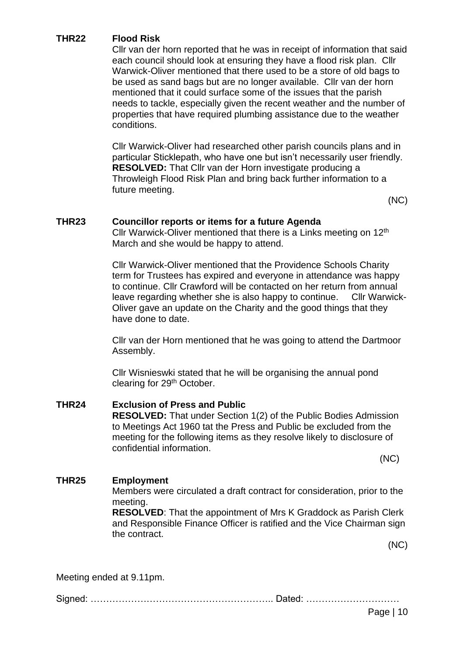## **THR22 Flood Risk**

Cllr van der horn reported that he was in receipt of information that said each council should look at ensuring they have a flood risk plan. Cllr Warwick-Oliver mentioned that there used to be a store of old bags to be used as sand bags but are no longer available. Cllr van der horn mentioned that it could surface some of the issues that the parish needs to tackle, especially given the recent weather and the number of properties that have required plumbing assistance due to the weather conditions.

Cllr Warwick-Oliver had researched other parish councils plans and in particular Sticklepath, who have one but isn't necessarily user friendly. **RESOLVED:** That Cllr van der Horn investigate producing a Throwleigh Flood Risk Plan and bring back further information to a future meeting.

(NC)

## **THR23 Councillor reports or items for a future Agenda**

Cllr Warwick-Oliver mentioned that there is a Links meeting on 12th March and she would be happy to attend.

Cllr Warwick-Oliver mentioned that the Providence Schools Charity term for Trustees has expired and everyone in attendance was happy to continue. Cllr Crawford will be contacted on her return from annual leave regarding whether she is also happy to continue. Cllr Warwick-Oliver gave an update on the Charity and the good things that they have done to date.

Cllr van der Horn mentioned that he was going to attend the Dartmoor Assembly.

Cllr Wisnieswki stated that he will be organising the annual pond clearing for 29<sup>th</sup> October.

#### **THR24 Exclusion of Press and Public RESOLVED:** That under Section 1(2) of the Public Bodies Admission to Meetings Act 1960 tat the Press and Public be excluded from the meeting for the following items as they resolve likely to disclosure of confidential information. (NC)

## **THR25 Employment**

Members were circulated a draft contract for consideration, prior to the meeting.

**RESOLVED**: That the appointment of Mrs K Graddock as Parish Clerk and Responsible Finance Officer is ratified and the Vice Chairman sign the contract.

(NC)

Meeting ended at 9.11pm.

Signed: ………………………………………………….. Dated: …………………………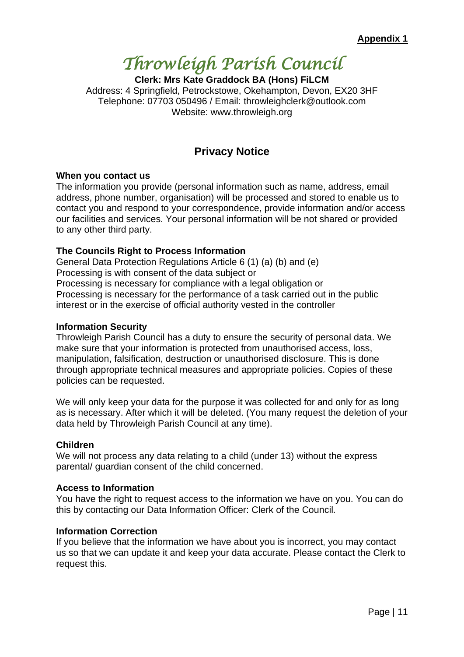# *Throwleigh Parish Council*

**Clerk: Mrs Kate Graddock BA (Hons) FiLCM** Address: 4 Springfield, Petrockstowe, Okehampton, Devon, EX20 3HF Telephone: 07703 050496 / Email: throwleighclerk@outlook.com Website: www.throwleigh.org

## **Privacy Notice**

#### **When you contact us**

The information you provide (personal information such as name, address, email address, phone number, organisation) will be processed and stored to enable us to contact you and respond to your correspondence, provide information and/or access our facilities and services. Your personal information will be not shared or provided to any other third party.

## **The Councils Right to Process Information**

General Data Protection Regulations Article 6 (1) (a) (b) and (e) Processing is with consent of the data subject or Processing is necessary for compliance with a legal obligation or Processing is necessary for the performance of a task carried out in the public interest or in the exercise of official authority vested in the controller

#### **Information Security**

Throwleigh Parish Council has a duty to ensure the security of personal data. We make sure that your information is protected from unauthorised access, loss, manipulation, falsification, destruction or unauthorised disclosure. This is done through appropriate technical measures and appropriate policies. Copies of these policies can be requested.

We will only keep your data for the purpose it was collected for and only for as long as is necessary. After which it will be deleted. (You many request the deletion of your data held by Throwleigh Parish Council at any time).

## **Children**

We will not process any data relating to a child (under 13) without the express parental/ guardian consent of the child concerned.

#### **Access to Information**

You have the right to request access to the information we have on you. You can do this by contacting our Data Information Officer: Clerk of the Council.

#### **Information Correction**

If you believe that the information we have about you is incorrect, you may contact us so that we can update it and keep your data accurate. Please contact the Clerk to request this.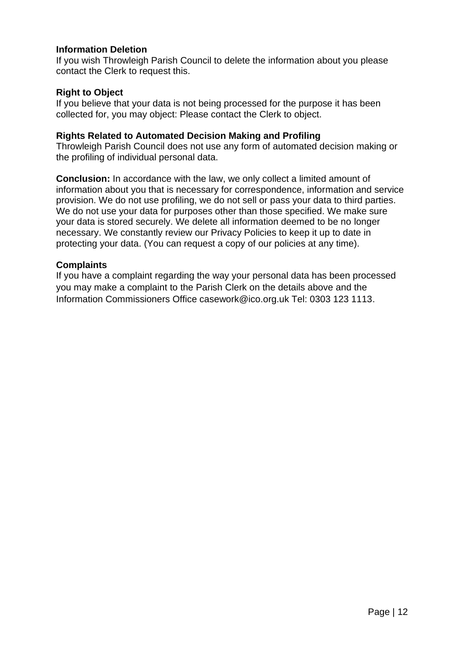## **Information Deletion**

If you wish Throwleigh Parish Council to delete the information about you please contact the Clerk to request this.

## **Right to Object**

If you believe that your data is not being processed for the purpose it has been collected for, you may object: Please contact the Clerk to object.

## **Rights Related to Automated Decision Making and Profiling**

Throwleigh Parish Council does not use any form of automated decision making or the profiling of individual personal data.

**Conclusion:** In accordance with the law, we only collect a limited amount of information about you that is necessary for correspondence, information and service provision. We do not use profiling, we do not sell or pass your data to third parties. We do not use your data for purposes other than those specified. We make sure your data is stored securely. We delete all information deemed to be no longer necessary. We constantly review our Privacy Policies to keep it up to date in protecting your data. (You can request a copy of our policies at any time).

## **Complaints**

If you have a complaint regarding the way your personal data has been processed you may make a complaint to the Parish Clerk on the details above and the Information Commissioners Office casework@ico.org.uk Tel: 0303 123 1113.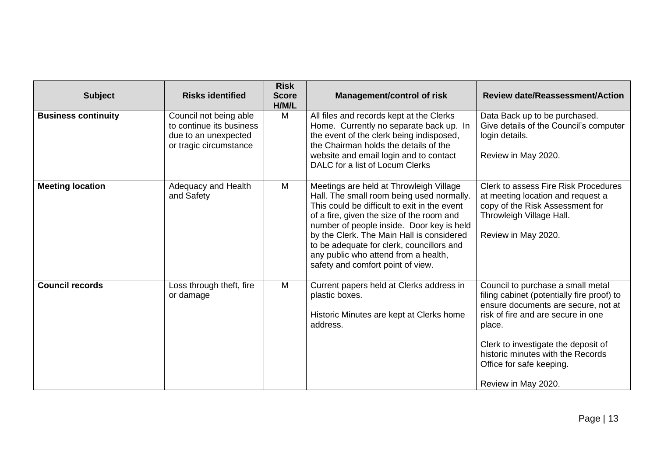| <b>Subject</b>             | <b>Risks identified</b>                                                                              | <b>Risk</b><br><b>Score</b><br>H/M/L | <b>Management/control of risk</b>                                                                                                                                                                                                                                                                                                                                                                     | <b>Review date/Reassessment/Action</b>                                                                                                                                                                                                                                                                |
|----------------------------|------------------------------------------------------------------------------------------------------|--------------------------------------|-------------------------------------------------------------------------------------------------------------------------------------------------------------------------------------------------------------------------------------------------------------------------------------------------------------------------------------------------------------------------------------------------------|-------------------------------------------------------------------------------------------------------------------------------------------------------------------------------------------------------------------------------------------------------------------------------------------------------|
| <b>Business continuity</b> | Council not being able<br>to continue its business<br>due to an unexpected<br>or tragic circumstance | M                                    | All files and records kept at the Clerks<br>Home. Currently no separate back up. In<br>the event of the clerk being indisposed,<br>the Chairman holds the details of the<br>website and email login and to contact<br>DALC for a list of Locum Clerks                                                                                                                                                 | Data Back up to be purchased.<br>Give details of the Council's computer<br>login details.<br>Review in May 2020.                                                                                                                                                                                      |
| <b>Meeting location</b>    | Adequacy and Health<br>and Safety                                                                    | M                                    | Meetings are held at Throwleigh Village<br>Hall. The small room being used normally.<br>This could be difficult to exit in the event<br>of a fire, given the size of the room and<br>number of people inside. Door key is held<br>by the Clerk. The Main Hall is considered<br>to be adequate for clerk, councillors and<br>any public who attend from a health,<br>safety and comfort point of view. | Clerk to assess Fire Risk Procedures<br>at meeting location and request a<br>copy of the Risk Assessment for<br>Throwleigh Village Hall.<br>Review in May 2020.                                                                                                                                       |
| <b>Council records</b>     | Loss through theft, fire<br>or damage                                                                | M                                    | Current papers held at Clerks address in<br>plastic boxes.<br>Historic Minutes are kept at Clerks home<br>address.                                                                                                                                                                                                                                                                                    | Council to purchase a small metal<br>filing cabinet (potentially fire proof) to<br>ensure documents are secure, not at<br>risk of fire and are secure in one<br>place.<br>Clerk to investigate the deposit of<br>historic minutes with the Records<br>Office for safe keeping.<br>Review in May 2020. |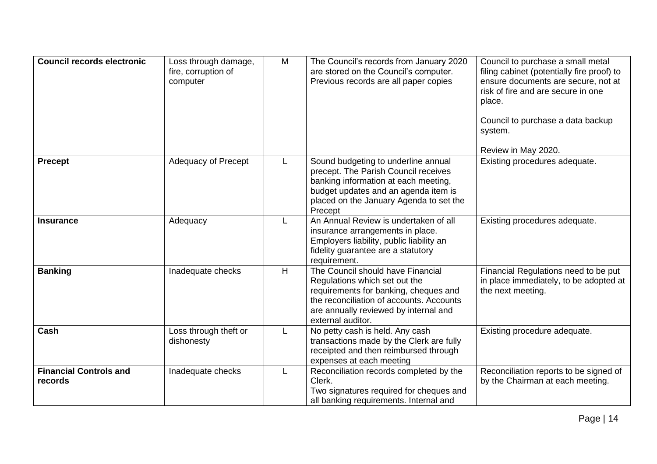| <b>Council records electronic</b>        | Loss through damage,<br>fire, corruption of<br>computer | M | The Council's records from January 2020<br>are stored on the Council's computer.<br>Previous records are all paper copies                                                                                             | Council to purchase a small metal<br>filing cabinet (potentially fire proof) to<br>ensure documents are secure, not at<br>risk of fire and are secure in one<br>place.<br>Council to purchase a data backup<br>system.<br>Review in May 2020. |
|------------------------------------------|---------------------------------------------------------|---|-----------------------------------------------------------------------------------------------------------------------------------------------------------------------------------------------------------------------|-----------------------------------------------------------------------------------------------------------------------------------------------------------------------------------------------------------------------------------------------|
| <b>Precept</b>                           | Adequacy of Precept                                     | L | Sound budgeting to underline annual<br>precept. The Parish Council receives<br>banking information at each meeting,<br>budget updates and an agenda item is<br>placed on the January Agenda to set the<br>Precept     | Existing procedures adequate.                                                                                                                                                                                                                 |
| <b>Insurance</b>                         | Adequacy                                                | L | An Annual Review is undertaken of all<br>insurance arrangements in place.<br>Employers liability, public liability an<br>fidelity guarantee are a statutory<br>requirement.                                           | Existing procedures adequate.                                                                                                                                                                                                                 |
| <b>Banking</b>                           | Inadequate checks                                       | H | The Council should have Financial<br>Regulations which set out the<br>requirements for banking, cheques and<br>the reconciliation of accounts. Accounts<br>are annually reviewed by internal and<br>external auditor. | Financial Regulations need to be put<br>in place immediately, to be adopted at<br>the next meeting.                                                                                                                                           |
| Cash                                     | Loss through theft or<br>dishonesty                     | L | No petty cash is held. Any cash<br>transactions made by the Clerk are fully<br>receipted and then reimbursed through<br>expenses at each meeting                                                                      | Existing procedure adequate.                                                                                                                                                                                                                  |
| <b>Financial Controls and</b><br>records | Inadequate checks                                       | L | Reconciliation records completed by the<br>Clerk.<br>Two signatures required for cheques and<br>all banking requirements. Internal and                                                                                | Reconciliation reports to be signed of<br>by the Chairman at each meeting.                                                                                                                                                                    |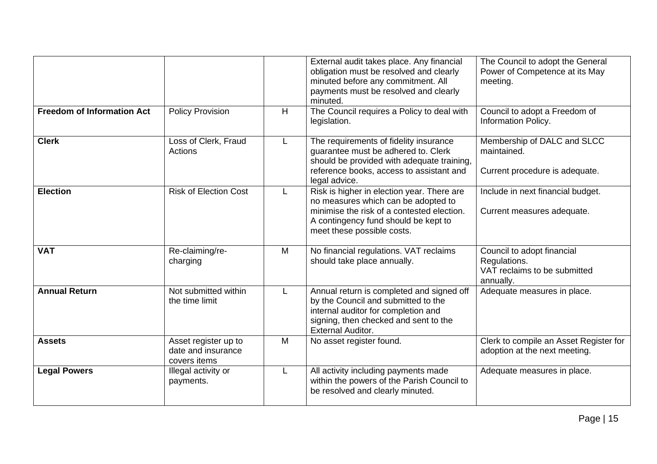| <b>Freedom of Information Act</b> |                                                            |   | External audit takes place. Any financial<br>obligation must be resolved and clearly<br>minuted before any commitment. All<br>payments must be resolved and clearly<br>minuted.                       | The Council to adopt the General<br>Power of Competence at its May<br>meeting.          |
|-----------------------------------|------------------------------------------------------------|---|-------------------------------------------------------------------------------------------------------------------------------------------------------------------------------------------------------|-----------------------------------------------------------------------------------------|
|                                   | <b>Policy Provision</b>                                    | H | The Council requires a Policy to deal with<br>legislation.                                                                                                                                            | Council to adopt a Freedom of<br><b>Information Policy.</b>                             |
| <b>Clerk</b>                      | Loss of Clerk, Fraud<br>Actions                            | L | The requirements of fidelity insurance<br>guarantee must be adhered to. Clerk<br>should be provided with adequate training,<br>reference books, access to assistant and<br>legal advice.              | Membership of DALC and SLCC<br>maintained.<br>Current procedure is adequate.            |
| <b>Election</b>                   | <b>Risk of Election Cost</b>                               | L | Risk is higher in election year. There are<br>no measures which can be adopted to<br>minimise the risk of a contested election.<br>A contingency fund should be kept to<br>meet these possible costs. | Include in next financial budget.<br>Current measures adequate.                         |
| <b>VAT</b>                        | Re-claiming/re-<br>charging                                | M | No financial regulations. VAT reclaims<br>should take place annually.                                                                                                                                 | Council to adopt financial<br>Regulations.<br>VAT reclaims to be submitted<br>annually. |
| <b>Annual Return</b>              | Not submitted within<br>the time limit                     |   | Annual return is completed and signed off<br>by the Council and submitted to the<br>internal auditor for completion and<br>signing, then checked and sent to the<br><b>External Auditor.</b>          | Adequate measures in place.                                                             |
| <b>Assets</b>                     | Asset register up to<br>date and insurance<br>covers items | M | No asset register found.                                                                                                                                                                              | Clerk to compile an Asset Register for<br>adoption at the next meeting.                 |
| <b>Legal Powers</b>               | Illegal activity or<br>payments.                           |   | All activity including payments made<br>within the powers of the Parish Council to<br>be resolved and clearly minuted.                                                                                | Adequate measures in place.                                                             |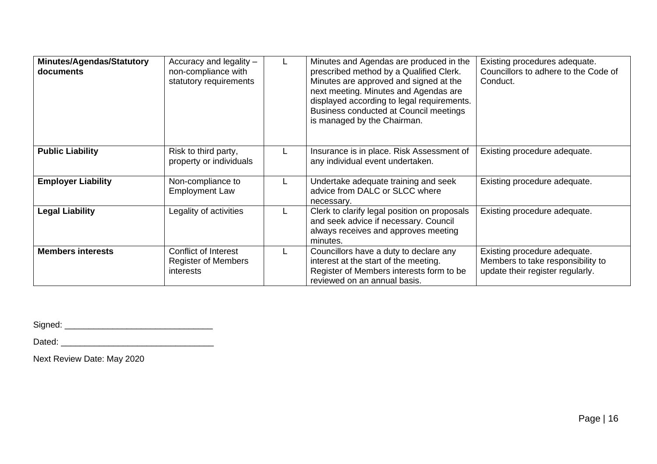| <b>Minutes/Agendas/Statutory</b><br>documents | Accuracy and legality -<br>non-compliance with<br>statutory requirements |   | Minutes and Agendas are produced in the<br>prescribed method by a Qualified Clerk.<br>Minutes are approved and signed at the<br>next meeting. Minutes and Agendas are<br>displayed according to legal requirements.<br>Business conducted at Council meetings<br>is managed by the Chairman. | Existing procedures adequate.<br>Councillors to adhere to the Code of<br>Conduct.                     |
|-----------------------------------------------|--------------------------------------------------------------------------|---|----------------------------------------------------------------------------------------------------------------------------------------------------------------------------------------------------------------------------------------------------------------------------------------------|-------------------------------------------------------------------------------------------------------|
| <b>Public Liability</b>                       | Risk to third party,<br>property or individuals                          |   | Insurance is in place. Risk Assessment of<br>any individual event undertaken.                                                                                                                                                                                                                | Existing procedure adequate.                                                                          |
| <b>Employer Liability</b>                     | Non-compliance to<br><b>Employment Law</b>                               |   | Undertake adequate training and seek<br>advice from DALC or SLCC where<br>necessary.                                                                                                                                                                                                         | Existing procedure adequate.                                                                          |
| <b>Legal Liability</b>                        | Legality of activities                                                   |   | Clerk to clarify legal position on proposals<br>and seek advice if necessary. Council<br>always receives and approves meeting<br>minutes.                                                                                                                                                    | Existing procedure adequate.                                                                          |
| <b>Members interests</b>                      | Conflict of Interest<br><b>Register of Members</b><br>interests          | L | Councillors have a duty to declare any<br>interest at the start of the meeting.<br>Register of Members interests form to be<br>reviewed on an annual basis.                                                                                                                                  | Existing procedure adequate.<br>Members to take responsibility to<br>update their register regularly. |

Signed: \_\_\_\_\_\_\_\_\_\_\_\_\_\_\_\_\_\_\_\_\_\_\_\_\_\_\_\_\_\_\_

Dated: \_\_\_\_\_\_\_\_\_\_\_\_\_\_\_\_\_\_\_\_\_\_\_\_\_\_\_\_\_\_\_\_

Next Review Date: May 2020